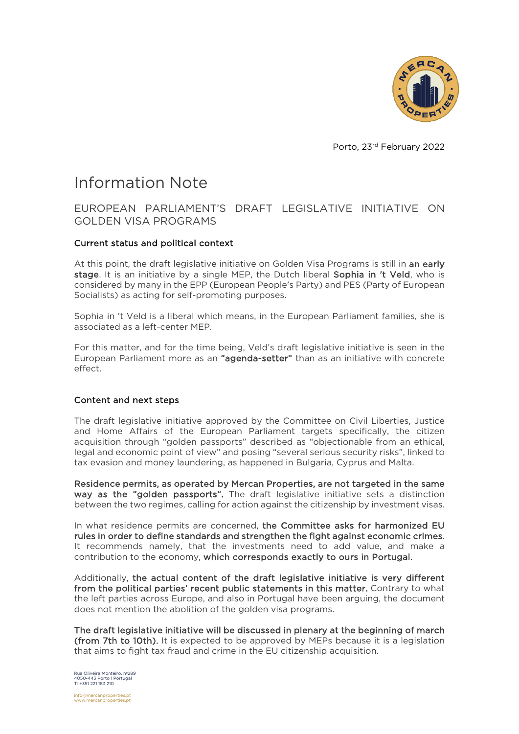

Porto, 23rd February 2022

# Information Note

## EUROPEAN PARLIAMENT'S DRAFT LEGISLATIVE INITIATIVE ON GOLDEN VISA PROGRAMS

### Current status and political context

At this point, the draft legislative initiative on Golden Visa Programs is still in an early stage. It is an initiative by a single MEP, the Dutch liberal Sophia in 't Veld, who is considered by many in the EPP (European People's Party) and PES (Party of European Socialists) as acting for self-promoting purposes.

Sophia in 't Veld is a liberal which means, in the European Parliament families, she is associated as a left-center MEP.

For this matter, and for the time being, Veld's draft legislative initiative is seen in the European Parliament more as an "agenda-setter" than as an initiative with concrete effect.

#### Content and next steps

The draft legislative [initiative](https://www.europarl.europa.eu/doceo/document/LIBE-PR-697745_PT.pdf) approved by the Committee on Civil Liberties, Justice and Home Affairs of the European Parliament targets specifically, the citizen acquisition through "golden passports" described as "objectionable from an ethical, legal and economic point of view" and posing "several serious security risks", linked to tax evasion and money laundering, as happened in Bulgaria, Cyprus and Malta.

Residence permits, as operated by Mercan Properties, are not targeted in the same way as the "golden passports". The draft legislative initiative sets a distinction between the two regimes, calling for action against the citizenship by investment visas.

In what residence permits are concerned, the Committee asks for harmonized EU rules in order to define standards and strengthen the fight against economic crimes. It recommends namely, that the investments need to add value, and make a contribution to the economy, which corresponds exactly to ours in Portugal.

Additionally, the actual content of the draft legislative initiative is very different from the political parties' recent public statements in this matter. Contrary to what the left parties across Europe, and also in Portugal have been arguing, the document does not mention the abolition of the golden visa programs.

The draft legislative initiative will be discussed in plenary at the beginning of march (from 7th to 10th). It is expected to be approved by MEPs because it is a legislation that aims to fight tax fraud and crime in the EU citizenship acquisition.

Rua Oliveira Monteiro, nº289 4050-443 Porto l Portugal T: +351 221 183 210

info@mercanproperties.pt www.mercanproperties.pt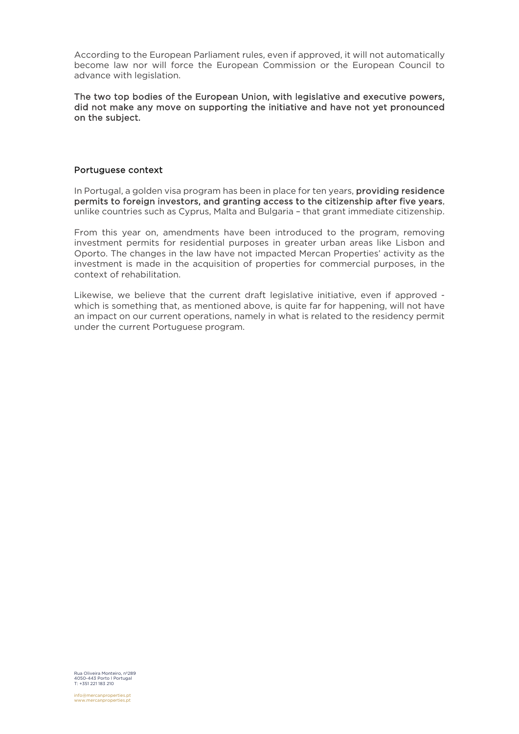According to the European Parliament rules, even if approved, it will not automatically become law nor will force the European Commission or the European Council to advance with legislation.

#### The two top bodies of the European Union, with legislative and executive powers, did not make any move on supporting the initiative and have not yet pronounced on the subject.

#### Portuguese context

In Portugal, a golden visa program has been in place for ten years, **providing residence** permits to foreign investors, and granting access to the citizenship after five years, unlike countries such as Cyprus, Malta and Bulgaria – that grant immediate citizenship.

From this year on, amendments have been introduced to the program, removing investment permits for residential purposes in greater urban areas like Lisbon and Oporto. The changes in the law have not impacted Mercan Properties' activity as the investment is made in the acquisition of properties for commercial purposes, in the context of rehabilitation.

Likewise, we believe that the current draft legislative initiative, even if approved which is something that, as mentioned above, is quite far for happening, will not have an impact on our current operations, namely in what is related to the residency permit under the current Portuguese program.

Rua Oliveira Monteiro, nº289 4050-443 Porto l Portugal T: +351 221 183 210

info@mercanproperties.pt www.mercanproperties.pt